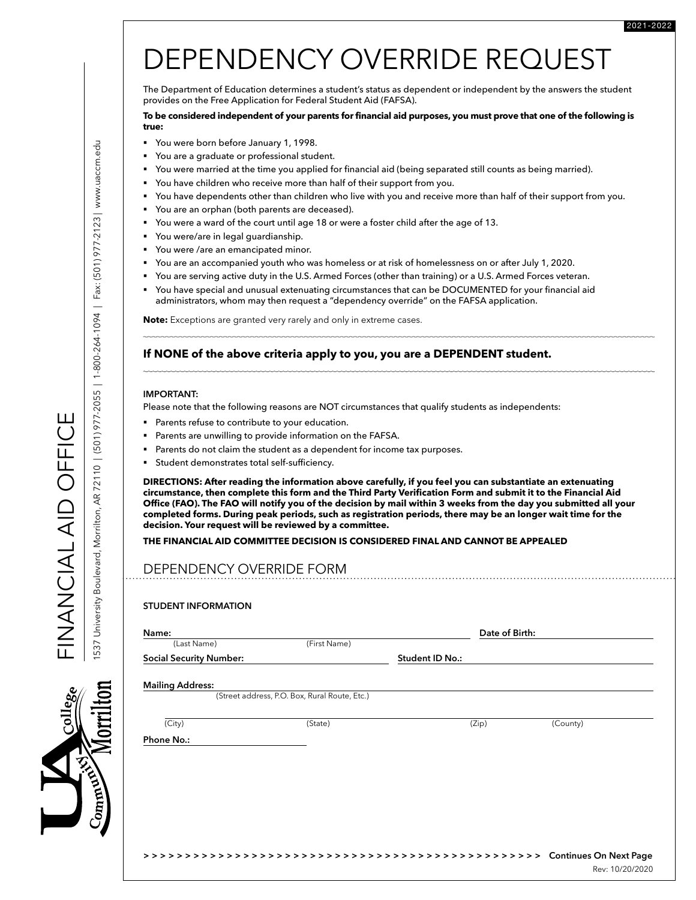# DEPENDENCY OVERRIDE REQUEST

The Department of Education determines a student's status as dependent or independent by the answers the student provides on the Free Application for Federal Student Aid (FAFSA).

#### **To be considered independent of your parents for financial aid purposes, you must prove that one of the following is true:**

- § You were born before January 1, 1998.
- You are a graduate or professional student.
- § You were married at the time you applied for financial aid (being separated still counts as being married).
- You have children who receive more than half of their support from you.
- § You have dependents other than children who live with you and receive more than half of their support from you.
- You are an orphan (both parents are deceased).
- § You were a ward of the court until age 18 or were a foster child after the age of 13.
- You were/are in legal guardianship.
- You were /are an emancipated minor.
- § You are an accompanied youth who was homeless or at risk of homelessness on or after July 1, 2020.
- § You are serving active duty in the U.S. Armed Forces (other than training) or a U.S. Armed Forces veteran.
- You have special and unusual extenuating circumstances that can be DOCUMENTED for your financial aid administrators, whom may then request a "dependency override" on the FAFSA application.

**Note:** Exceptions are granted very rarely and only in extreme cases.

### **If NONE of the above criteria apply to you, you are a DEPENDENT student.**

#### **IMPORTANT:**

Please note that the following reasons are NOT circumstances that qualify students as independents:

- **•** Parents refuse to contribute to your education.
- Parents are unwilling to provide information on the FAFSA.
- Parents do not claim the student as a dependent for income tax purposes.
- § Student demonstrates total self-sufficiency.

**DIRECTIONS: After reading the information above carefully, if you feel you can substantiate an extenuating circumstance, then complete this form and the Third Party Verification Form and submit it to the Financial Aid Office (FAO). The FAO will notify you of the decision by mail within 3 weeks from the day you submitted all your completed forms. During peak periods, such as registration periods, there may be an longer wait time for the decision. Your request will be reviewed by a committee.**

#### **THE FINANCIAL AID COMMITTEE DECISION IS CONSIDERED FINAL AND CANNOT BE APPEALED**

## DEPENDENCY OVERRIDE FORM

#### **STUDENT INFORMATION**

| (Last Name)                    | (First Name)                                  |                 |          |
|--------------------------------|-----------------------------------------------|-----------------|----------|
| <b>Social Security Number:</b> |                                               | Student ID No.: |          |
| <b>Mailing Address:</b>        |                                               |                 |          |
|                                | (Street address, P.O. Box, Rural Route, Etc.) |                 |          |
| (City)                         | (State)                                       | (Zip)           | (County) |
| Phone No.:                     |                                               |                 |          |
|                                |                                               |                 |          |
|                                |                                               |                 |          |
|                                |                                               |                 |          |
|                                |                                               |                 |          |
|                                |                                               |                 |          |
|                                |                                               |                 |          |

Rev: 10/20/2020

FINANCIAL AID OFFICE

FINANCIA LATO DEFICE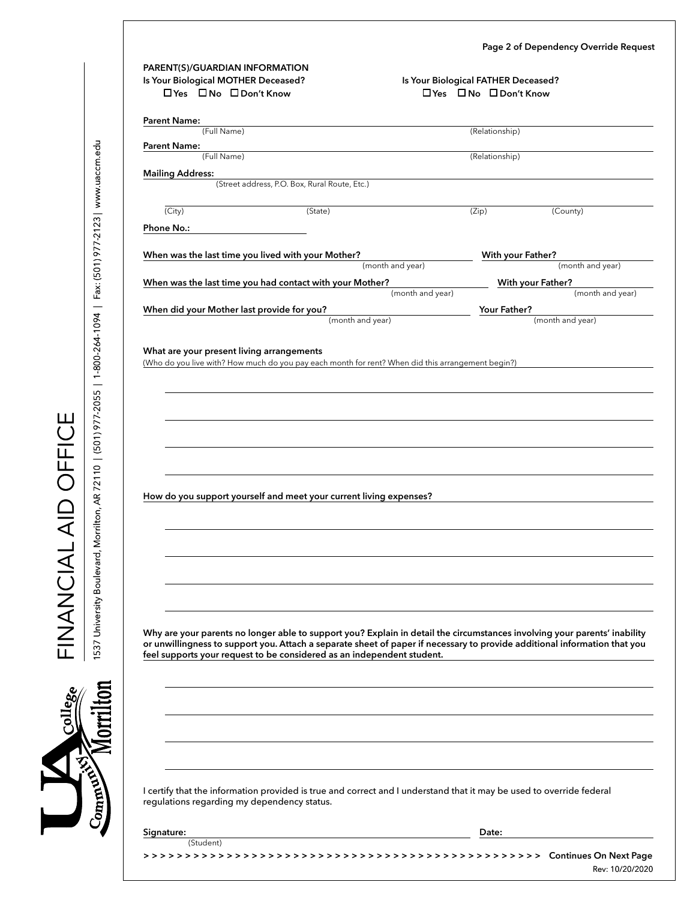|  |  | Page 2 of Dependency Override Request |  |  |
|--|--|---------------------------------------|--|--|
|--|--|---------------------------------------|--|--|

| Is Your Biological MOTHER Deceased?<br>□Yes □No □Don't Know |                                                                                                                                                                                                                                                        | Is Your Biological FATHER Deceased?<br>□ Yes □ No □ Don't Know |                                       |
|-------------------------------------------------------------|--------------------------------------------------------------------------------------------------------------------------------------------------------------------------------------------------------------------------------------------------------|----------------------------------------------------------------|---------------------------------------|
| <b>Parent Name:</b>                                         |                                                                                                                                                                                                                                                        |                                                                |                                       |
| (Full Name)                                                 |                                                                                                                                                                                                                                                        | (Relationship)                                                 |                                       |
| <b>Parent Name:</b><br>(Full Name)                          |                                                                                                                                                                                                                                                        | (Relationship)                                                 |                                       |
| <b>Mailing Address:</b>                                     |                                                                                                                                                                                                                                                        |                                                                |                                       |
|                                                             | (Street address, P.O. Box, Rural Route, Etc.)                                                                                                                                                                                                          |                                                                |                                       |
| $\overline{(City)}$                                         | (State)                                                                                                                                                                                                                                                | (Zip)                                                          | (County)                              |
| Phone No.:                                                  |                                                                                                                                                                                                                                                        |                                                                |                                       |
| When was the last time you lived with your Mother?          |                                                                                                                                                                                                                                                        | With your Father?                                              |                                       |
|                                                             | (month and year)                                                                                                                                                                                                                                       |                                                                | (month and year)                      |
| When was the last time you had contact with your Mother?    | (month and year)                                                                                                                                                                                                                                       |                                                                | With your Father?<br>(month and year) |
| When did your Mother last provide for you?                  |                                                                                                                                                                                                                                                        | Your Father?                                                   |                                       |
|                                                             | (month and year)                                                                                                                                                                                                                                       |                                                                | (month and year)                      |
|                                                             |                                                                                                                                                                                                                                                        |                                                                |                                       |
|                                                             |                                                                                                                                                                                                                                                        |                                                                |                                       |
|                                                             |                                                                                                                                                                                                                                                        |                                                                |                                       |
|                                                             |                                                                                                                                                                                                                                                        |                                                                |                                       |
|                                                             | How do you support yourself and meet your current living expenses?                                                                                                                                                                                     |                                                                |                                       |
|                                                             |                                                                                                                                                                                                                                                        |                                                                |                                       |
|                                                             |                                                                                                                                                                                                                                                        |                                                                |                                       |
|                                                             |                                                                                                                                                                                                                                                        |                                                                |                                       |
|                                                             |                                                                                                                                                                                                                                                        |                                                                |                                       |
|                                                             | Why are your parents no longer able to support you? Explain in detail the circumstances involving your parents' inability<br>or unwillingness to support you. Attach a separate sheet of paper if necessary to provide additional information that you |                                                                |                                       |
|                                                             | feel supports your request to be considered as an independent student.                                                                                                                                                                                 |                                                                |                                       |
|                                                             |                                                                                                                                                                                                                                                        |                                                                |                                       |
|                                                             |                                                                                                                                                                                                                                                        |                                                                |                                       |
|                                                             |                                                                                                                                                                                                                                                        |                                                                |                                       |
| regulations regarding my dependency status.                 | I certify that the information provided is true and correct and I understand that it may be used to override federal                                                                                                                                   |                                                                |                                       |
| Signature:                                                  |                                                                                                                                                                                                                                                        | Date:                                                          |                                       |

College FINANCIAL AID OFFICE<br>Community Morrillon 1537 University Boulevard, Morrilton, AR 72110 | (501) 977-2055 | 1-800-264-1094 | Fax: (501) 977-2123 | www.uaccm.edu 1537 University Boulevard, Morrilton, AR 72110 | (501) 977-2055 | 1-800-264-1094 | Fax: (501) 977-2123 | www.uaccm.edu

FINANCIAL AID OFFICE